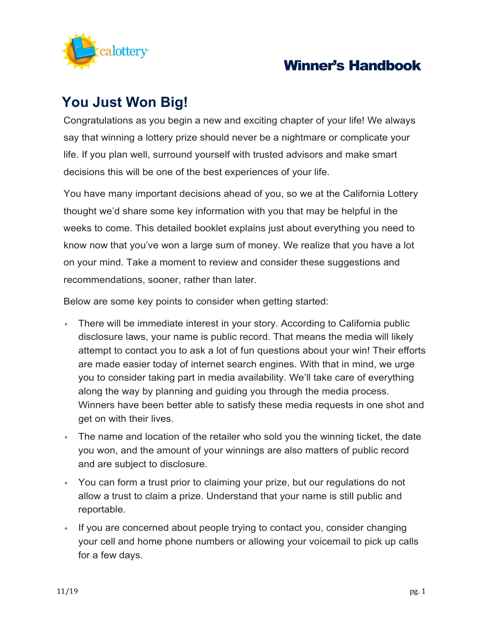

# **You Just Won Big!**

Congratulations as you begin a new and exciting chapter of your life! We always say that winning a lottery prize should never be a nightmare or complicate your life. If you plan well, surround yourself with trusted advisors and make smart decisions this will be one of the best experiences of your life.

You have many important decisions ahead of you, so we at the California Lottery thought we'd share some key information with you that may be helpful in the weeks to come. This detailed booklet explains just about everything you need to know now that you've won a large sum of money. We realize that you have a lot on your mind. Take a moment to review and consider these suggestions and recommendations, sooner, rather than later.

Below are some key points to consider when getting started:

- There will be immediate interest in your story. According to California public disclosure laws, your name is public record. That means the media will likely attempt to contact you to ask a lot of fun questions about your win! Their efforts are made easier today of internet search engines. With that in mind, we urge you to consider taking part in media availability. We'll take care of everything along the way by planning and guiding you through the media process. Winners have been better able to satisfy these media requests in one shot and get on with their lives.
- The name and location of the retailer who sold you the winning ticket, the date you won, and the amount of your winnings are also matters of public record and are subject to disclosure.
- You can form a trust prior to claiming your prize, but our regulations do not allow a trust to claim a prize. Understand that your name is still public and reportable.
- If you are concerned about people trying to contact you, consider changing your cell and home phone numbers or allowing your voicemail to pick up calls for a few days.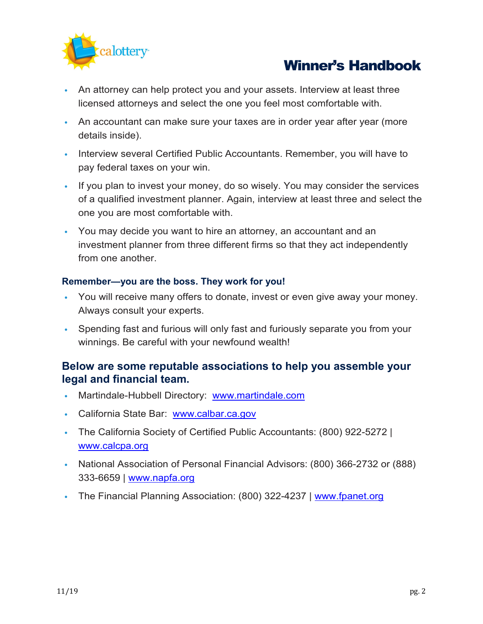

- An attorney can help protect you and your assets. Interview at least three licensed attorneys and select the one you feel most comfortable with.
- An accountant can make sure your taxes are in order year after year (more details inside).
- Interview several Certified Public Accountants. Remember, you will have to pay federal taxes on your win.
- If you plan to invest your money, do so wisely. You may consider the services of a qualified investment planner. Again, interview at least three and select the one you are most comfortable with.
- You may decide you want to hire an attorney, an accountant and an investment planner from three different firms so that they act independently from one another.

### **Remember—you are the boss. They work for you!**

- You will receive many offers to donate, invest or even give away your money. Always consult your experts.
- Spending fast and furious will only fast and furiously separate you from your winnings. Be careful with your newfound wealth!

## **Below are some reputable associations to help you assemble your legal and financial team.**

- Martindale-Hubbell Directory: [www.martindale.com](http://www.martindale.com/)
- California State Bar: [www.calbar.ca.gov](http://www.calbar.ca.gov/)
- The California Society of Certified Public Accountants: (800) 922-5272 | [www.calcpa.org](http://www.calcpa.org/)
- National Association of Personal Financial Advisors: (800) 366-2732 or (888) 333-6659 | [www.napfa.org](http://www.napfa.org/)
- The Financial Planning Association: (800) 322-4237 | [www.fpanet.org](http://www.fpanet.org/)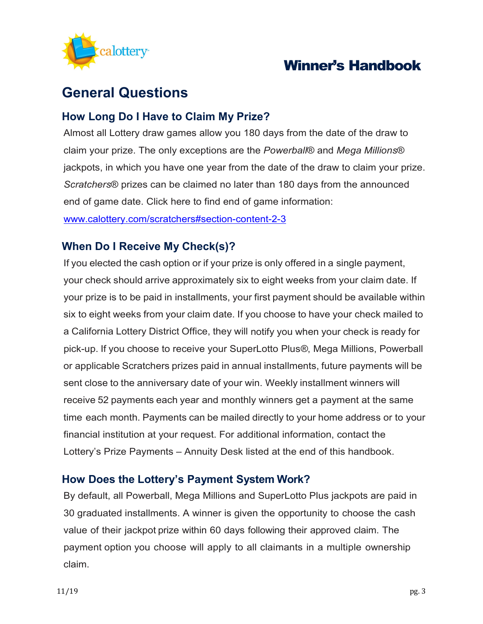

# **General Questions**

## **How Long Do I Have to Claim My Prize?**

Almost all Lottery draw games allow you 180 days from the date of the draw to claim your prize. The only exceptions are the *Powerball*® and *Mega Millions*® jackpots, in which you have one year from the date of the draw to claim your prize. *Scratchers*® prizes can be claimed no later than 180 days from the announced end of game date. Click here to find end of game information:

[www.calottery.com/scratchers#section-content-2-3](http://www.calottery.com/scratchers#section-content-2-3)

## **When Do I Receive My Check(s)?**

If you elected the cash option or if your prize is only offered in a single payment, your check should arrive approximately six to eight weeks from your claim date. If your prize is to be paid in installments, your first payment should be available within six to eight weeks from your claim date. If you choose to have your check mailed to a California Lottery District Office, they will notify you when your check is ready for pick-up. If you choose to receive your SuperLotto Plus*®*, Mega Millions, Powerball or applicable Scratchers prizes paid in annual installments, future payments will be sent close to the anniversary date of your win. Weekly installment winners will receive 52 payments each year and monthly winners get a payment at the same time each month. Payments can be mailed directly to your home address or to your financial institution at your request. For additional information, contact the Lottery's Prize Payments – Annuity Desk listed at the end of this handbook.

## **How Does the Lottery's Payment System Work?**

By default, all Powerball, Mega Millions and SuperLotto Plus jackpots are paid in 30 graduated installments. A winner is given the opportunity to choose the cash value of their jackpot prize within 60 days following their approved claim. The payment option you choose will apply to all claimants in a multiple ownership claim.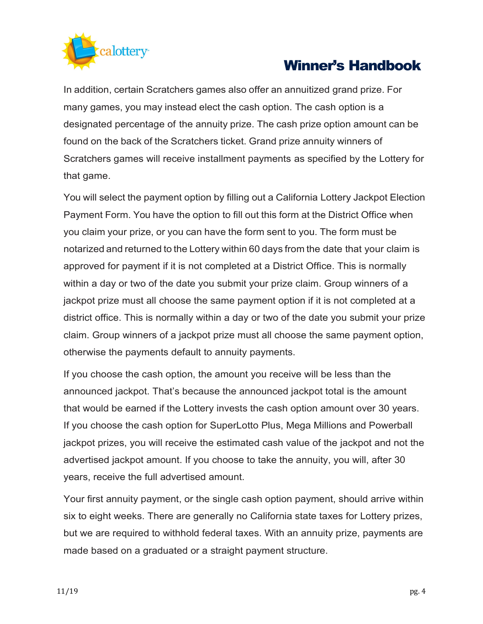

In addition, certain Scratchers games also offer an annuitized grand prize. For many games, you may instead elect the cash option. The cash option is a designated percentage of the annuity prize. The cash prize option amount can be found on the back of the Scratchers ticket. Grand prize annuity winners of Scratchers games will receive installment payments as specified by the Lottery for that game.

You will select the payment option by filling out a California Lottery Jackpot Election Payment Form. You have the option to fill out this form at the District Office when you claim your prize, or you can have the form sent to you. The form must be notarized and returned to the Lottery within 60 days from the date that your claim is approved for payment if it is not completed at a District Office. This is normally within a day or two of the date you submit your prize claim. Group winners of a jackpot prize must all choose the same payment option if it is not completed at a district office. This is normally within a day or two of the date you submit your prize claim. Group winners of a jackpot prize must all choose the same payment option, otherwise the payments default to annuity payments.

If you choose the cash option, the amount you receive will be less than the announced jackpot. That's because the announced jackpot total is the amount that would be earned if the Lottery invests the cash option amount over 30 years. If you choose the cash option for SuperLotto Plus, Mega Millions and Powerball jackpot prizes, you will receive the estimated cash value of the jackpot and not the advertised jackpot amount. If you choose to take the annuity, you will, after 30 years, receive the full advertised amount.

Your first annuity payment, or the single cash option payment, should arrive within six to eight weeks. There are generally no California state taxes for Lottery prizes, but we are required to withhold federal taxes. With an annuity prize, payments are made based on a graduated or a straight payment structure.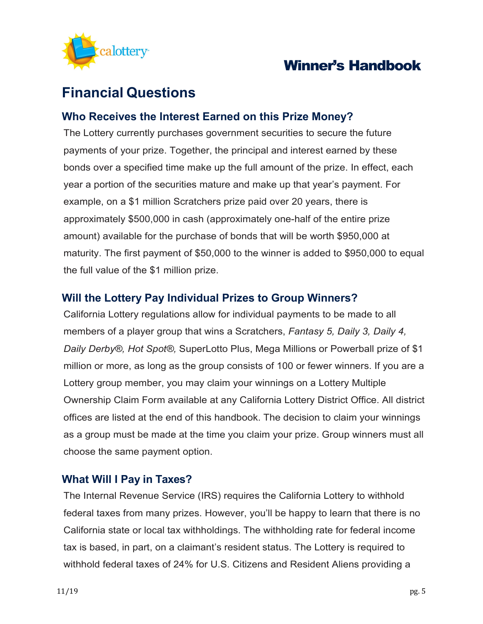

# **Financial Questions**

## **Who Receives the Interest Earned on this Prize Money?**

The Lottery currently purchases government securities to secure the future payments of your prize. Together, the principal and interest earned by these bonds over a specified time make up the full amount of the prize. In effect, each year a portion of the securities mature and make up that year's payment. For example, on a \$1 million Scratchers prize paid over 20 years, there is approximately \$500,000 in cash (approximately one-half of the entire prize amount) available for the purchase of bonds that will be worth \$950,000 at maturity. The first payment of \$50,000 to the winner is added to \$950,000 to equal the full value of the \$1 million prize.

### **Will the Lottery Pay Individual Prizes to Group Winners?**

California Lottery regulations allow for individual payments to be made to all members of a player group that wins a Scratchers, *Fantasy 5, Daily 3, Daily 4, Daily Derby®, Hot Spot®,* SuperLotto Plus, Mega Millions or Powerball prize of \$1 million or more, as long as the group consists of 100 or fewer winners. If you are a Lottery group member, you may claim your winnings on a Lottery Multiple Ownership Claim Form available at any California Lottery District Office. All district offices are listed at the end of this handbook. The decision to claim your winnings as a group must be made at the time you claim your prize. Group winners must all choose the same payment option.

### **What Will I Pay in Taxes?**

The Internal Revenue Service (IRS) requires the California Lottery to withhold federal taxes from many prizes. However, you'll be happy to learn that there is no California state or local tax withholdings. The withholding rate for federal income tax is based, in part, on a claimant's resident status. The Lottery is required to withhold federal taxes of 24% for U.S. Citizens and Resident Aliens providing a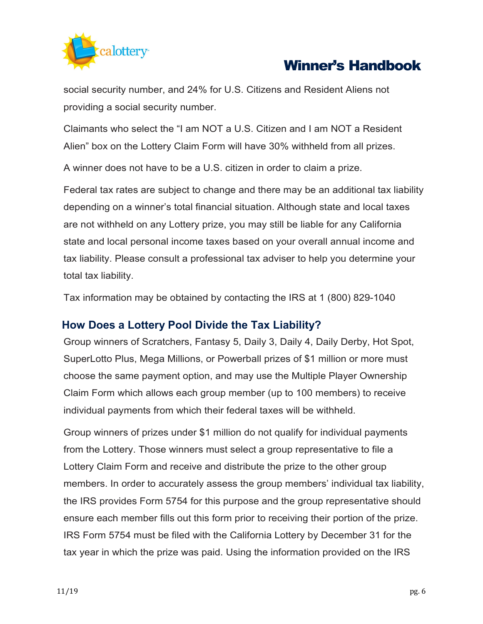

social security number, and 24% for U.S. Citizens and Resident Aliens not providing a social security number.

Claimants who select the "I am NOT a U.S. Citizen and I am NOT a Resident Alien" box on the Lottery Claim Form will have 30% withheld from all prizes.

A winner does not have to be a U.S. citizen in order to claim a prize.

Federal tax rates are subject to change and there may be an additional tax liability depending on a winner's total financial situation. Although state and local taxes are not withheld on any Lottery prize, you may still be liable for any California state and local personal income taxes based on your overall annual income and tax liability. Please consult a professional tax adviser to help you determine your total tax liability.

Tax information may be obtained by contacting the IRS at 1 (800) 829-1040

## **How Does a Lottery Pool Divide the Tax Liability?**

Group winners of Scratchers, Fantasy 5, Daily 3, Daily 4, Daily Derby, Hot Spot, SuperLotto Plus, Mega Millions, or Powerball prizes of \$1 million or more must choose the same payment option, and may use the Multiple Player Ownership Claim Form which allows each group member (up to 100 members) to receive individual payments from which their federal taxes will be withheld.

Group winners of prizes under \$1 million do not qualify for individual payments from the Lottery. Those winners must select a group representative to file a Lottery Claim Form and receive and distribute the prize to the other group members. In order to accurately assess the group members' individual tax liability, the IRS provides Form 5754 for this purpose and the group representative should ensure each member fills out this form prior to receiving their portion of the prize. IRS Form 5754 must be filed with the California Lottery by December 31 for the tax year in which the prize was paid. Using the information provided on the IRS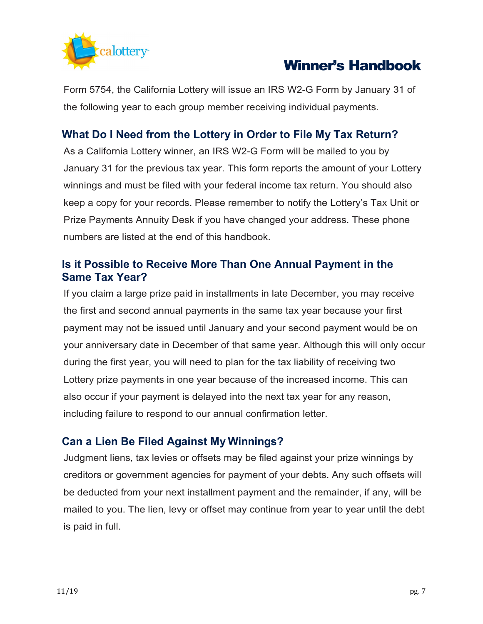

Form 5754, the California Lottery will issue an IRS W2-G Form by January 31 of the following year to each group member receiving individual payments.

## **What Do I Need from the Lottery in Order to File My Tax Return?**

As a California Lottery winner, an IRS W2-G Form will be mailed to you by January 31 for the previous tax year. This form reports the amount of your Lottery winnings and must be filed with your federal income tax return. You should also keep a copy for your records. Please remember to notify the Lottery's Tax Unit or Prize Payments Annuity Desk if you have changed your address. These phone numbers are listed at the end of this handbook.

### **Is it Possible to Receive More Than One Annual Payment in the Same Tax Year?**

If you claim a large prize paid in installments in late December, you may receive the first and second annual payments in the same tax year because your first payment may not be issued until January and your second payment would be on your anniversary date in December of that same year. Although this will only occur during the first year, you will need to plan for the tax liability of receiving two Lottery prize payments in one year because of the increased income. This can also occur if your payment is delayed into the next tax year for any reason, including failure to respond to our annual confirmation letter.

## **Can a Lien Be Filed Against My Winnings?**

Judgment liens, tax levies or offsets may be filed against your prize winnings by creditors or government agencies for payment of your debts. Any such offsets will be deducted from your next installment payment and the remainder, if any, will be mailed to you. The lien, levy or offset may continue from year to year until the debt is paid in full.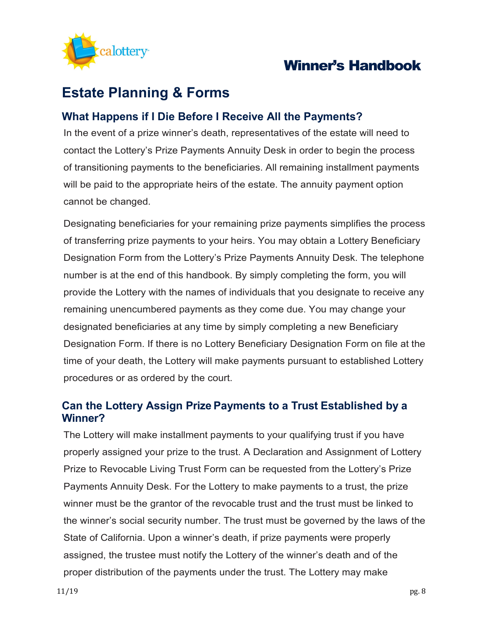

# **Estate Planning & Forms**

## **What Happens if I Die Before I Receive All the Payments?**

In the event of a prize winner's death, representatives of the estate will need to contact the Lottery's Prize Payments Annuity Desk in order to begin the process of transitioning payments to the beneficiaries. All remaining installment payments will be paid to the appropriate heirs of the estate. The annuity payment option cannot be changed.

Designating beneficiaries for your remaining prize payments simplifies the process of transferring prize payments to your heirs. You may obtain a Lottery Beneficiary Designation Form from the Lottery's Prize Payments Annuity Desk. The telephone number is at the end of this handbook. By simply completing the form, you will provide the Lottery with the names of individuals that you designate to receive any remaining unencumbered payments as they come due. You may change your designated beneficiaries at any time by simply completing a new Beneficiary Designation Form. If there is no Lottery Beneficiary Designation Form on file at the time of your death, the Lottery will make payments pursuant to established Lottery procedures or as ordered by the court.

## **Can the Lottery Assign Prize Payments to a Trust Established by a Winner?**

The Lottery will make installment payments to your qualifying trust if you have properly assigned your prize to the trust. A Declaration and Assignment of Lottery Prize to Revocable Living Trust Form can be requested from the Lottery's Prize Payments Annuity Desk. For the Lottery to make payments to a trust, the prize winner must be the grantor of the revocable trust and the trust must be linked to the winner's social security number. The trust must be governed by the laws of the State of California. Upon a winner's death, if prize payments were properly assigned, the trustee must notify the Lottery of the winner's death and of the proper distribution of the payments under the trust. The Lottery may make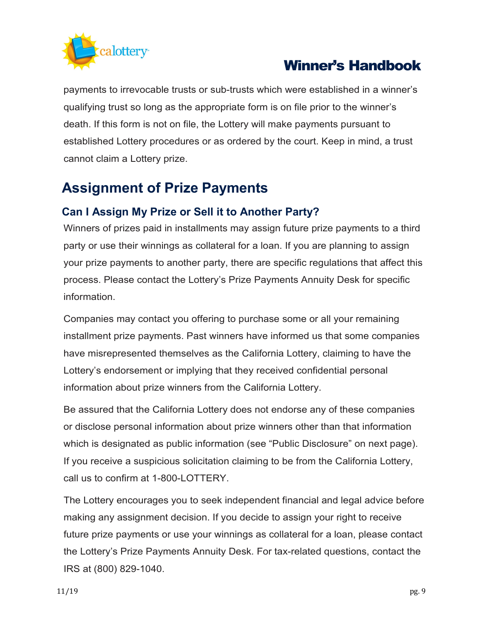

payments to irrevocable trusts or sub-trusts which were established in a winner's qualifying trust so long as the appropriate form is on file prior to the winner's death. If this form is not on file, the Lottery will make payments pursuant to established Lottery procedures or as ordered by the court. Keep in mind, a trust cannot claim a Lottery prize.

# **Assignment of Prize Payments**

## **Can I Assign My Prize or Sell it to Another Party?**

Winners of prizes paid in installments may assign future prize payments to a third party or use their winnings as collateral for a loan. If you are planning to assign your prize payments to another party, there are specific regulations that affect this process. Please contact the Lottery's Prize Payments Annuity Desk for specific information.

Companies may contact you offering to purchase some or all your remaining installment prize payments. Past winners have informed us that some companies have misrepresented themselves as the California Lottery, claiming to have the Lottery's endorsement or implying that they received confidential personal information about prize winners from the California Lottery.

Be assured that the California Lottery does not endorse any of these companies or disclose personal information about prize winners other than that information which is designated as public information (see "Public Disclosure" on next page). If you receive a suspicious solicitation claiming to be from the California Lottery, call us to confirm at 1-800-LOTTERY.

The Lottery encourages you to seek independent financial and legal advice before making any assignment decision. If you decide to assign your right to receive future prize payments or use your winnings as collateral for a loan, please contact the Lottery's Prize Payments Annuity Desk. For tax-related questions, contact the IRS at (800) 829-1040.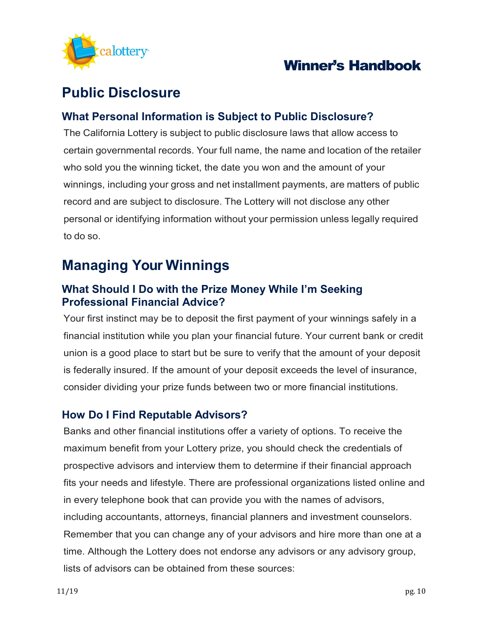

# **Public Disclosure**

## **What Personal Information is Subject to Public Disclosure?**

The California Lottery is subject to public disclosure laws that allow access to certain governmental records. Your full name, the name and location of the retailer who sold you the winning ticket, the date you won and the amount of your winnings, including your gross and net installment payments, are matters of public record and are subject to disclosure. The Lottery will not disclose any other personal or identifying information without your permission unless legally required to do so.

# **Managing Your Winnings**

## **What Should I Do with the Prize Money While I'm Seeking Professional Financial Advice?**

Your first instinct may be to deposit the first payment of your winnings safely in a financial institution while you plan your financial future. Your current bank or credit union is a good place to start but be sure to verify that the amount of your deposit is federally insured. If the amount of your deposit exceeds the level of insurance, consider dividing your prize funds between two or more financial institutions.

### **How Do I Find Reputable Advisors?**

Banks and other financial institutions offer a variety of options. To receive the maximum benefit from your Lottery prize, you should check the credentials of prospective advisors and interview them to determine if their financial approach fits your needs and lifestyle. There are professional organizations listed online and in every telephone book that can provide you with the names of advisors, including accountants, attorneys, financial planners and investment counselors. Remember that you can change any of your advisors and hire more than one at a time. Although the Lottery does not endorse any advisors or any advisory group, lists of advisors can be obtained from these sources: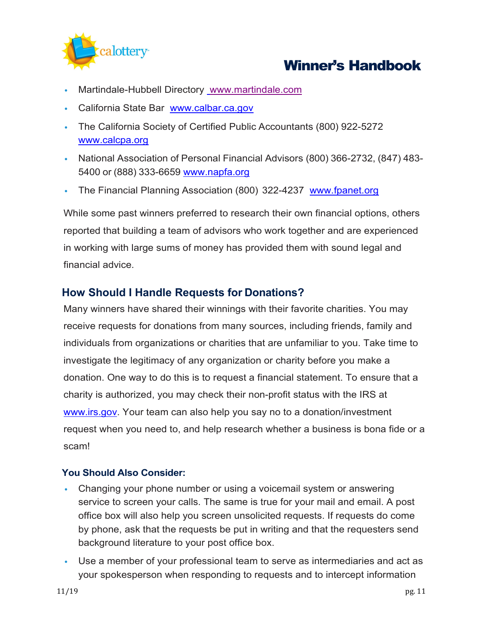

- Martindale-Hubbell Directory [www.martindale.com](http://www.martindale.com/)
- California State Bar [www.calbar.ca.gov](http://www.calbar.ca.gov/)
- The California Society of Certified Public Accountants (800) 922-5272 [www.calcpa.org](http://www.calcpa.org/)
- National Association of Personal Financial Advisors (800) 366-2732, (847) 483 5400 or (888) 333-6659 [www.napfa.org](http://www.napfa.org/)
- The Financial Planning Association (800) 322-4237 [www.fpanet.org](http://www.fpanet.org/)

While some past winners preferred to research their own financial options, others reported that building a team of advisors who work together and are experienced in working with large sums of money has provided them with sound legal and financial advice.

### **How Should I Handle Requests for Donations?**

Many winners have shared their winnings with their favorite charities. You may receive requests for donations from many sources, including friends, family and individuals from organizations or charities that are unfamiliar to you. Take time to investigate the legitimacy of any organization or charity before you make a donation. One way to do this is to request a financial statement. To ensure that a charity is authorized, you may check their non-profit status with the IRS at [www.irs.gov.](http://www.irs.gov/) Your team can also help you say no to a donation/investment request when you need to, and help research whether a business is bona fide or a scam!

### **You Should Also Consider:**

- Changing your phone number or using a voicemail system or answering service to screen your calls. The same is true for your mail and email. A post office box will also help you screen unsolicited requests. If requests do come by phone, ask that the requests be put in writing and that the requesters send background literature to your post office box.
- Use a member of your professional team to serve as intermediaries and act as your spokesperson when responding to requests and to intercept information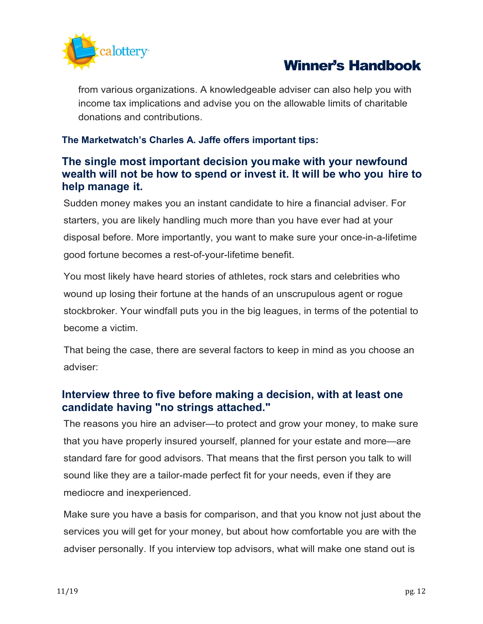

from various organizations. A knowledgeable adviser can also help you with income tax implications and advise you on the allowable limits of charitable donations and contributions.

### **The Marketwatch's Charles A. Jaffe offers important tips:**

## **The single most important decision youmake with your newfound wealth will not be how to spend or invest it. It will be who you hire to help manage it.**

Sudden money makes you an instant candidate to hire a financial adviser. For starters, you are likely handling much more than you have ever had at your disposal before. More importantly, you want to make sure your once-in-a-lifetime good fortune becomes a rest-of-your-lifetime benefit.

You most likely have heard stories of athletes, rock stars and celebrities who wound up losing their fortune at the hands of an unscrupulous agent or rogue stockbroker. Your windfall puts you in the big leagues, in terms of the potential to become a victim.

That being the case, there are several factors to keep in mind as you choose an adviser:

## **Interview three to five before making a decision, with at least one candidate having "no strings attached."**

The reasons you hire an adviser—to protect and grow your money, to make sure that you have properly insured yourself, planned for your estate and more—are standard fare for good advisors. That means that the first person you talk to will sound like they are a tailor-made perfect fit for your needs, even if they are mediocre and inexperienced.

Make sure you have a basis for comparison, and that you know not just about the services you will get for your money, but about how comfortable you are with the adviser personally. If you interview top advisors, what will make one stand out is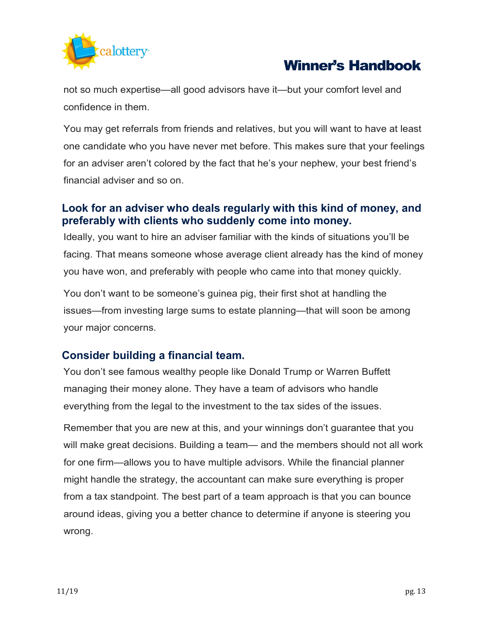

not so much expertise—all good advisors have it—but your comfort level and confidence in them.

You may get referrals from friends and relatives, but you will want to have at least one candidate who you have never met before. This makes sure that your feelings for an adviser aren't colored by the fact that he's your nephew, your best friend's financial adviser and so on.

## **Look for an adviser who deals regularly with this kind of money, and preferably with clients who suddenly come into money.**

Ideally, you want to hire an adviser familiar with the kinds of situations you'll be facing. That means someone whose average client already has the kind of money you have won, and preferably with people who came into that money quickly.

You don't want to be someone's guinea pig, their first shot at handling the issues—from investing large sums to estate planning—that will soon be among your major concerns.

## **Consider building a financial team.**

You don't see famous wealthy people like Donald Trump or Warren Buffett managing their money alone. They have a team of advisors who handle everything from the legal to the investment to the tax sides of the issues.

Remember that you are new at this, and your winnings don't guarantee that you will make great decisions. Building a team— and the members should not all work for one firm—allows you to have multiple advisors. While the financial planner might handle the strategy, the accountant can make sure everything is proper from a tax standpoint. The best part of a team approach is that you can bounce around ideas, giving you a better chance to determine if anyone is steering you wrong.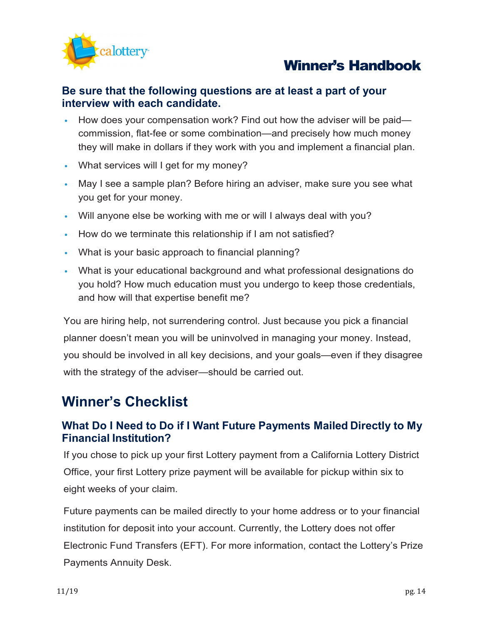

### **Be sure that the following questions are at least a part of your interview with each candidate.**

- How does your compensation work? Find out how the adviser will be paid commission, flat-fee or some combination—and precisely how much money they will make in dollars if they work with you and implement a financial plan.
- What services will I get for my money?
- May I see a sample plan? Before hiring an adviser, make sure you see what you get for your money.
- Will anyone else be working with me or will I always deal with you?
- How do we terminate this relationship if I am not satisfied?
- What is your basic approach to financial planning?
- What is your educational background and what professional designations do you hold? How much education must you undergo to keep those credentials, and how will that expertise benefit me?

You are hiring help, not surrendering control. Just because you pick a financial planner doesn't mean you will be uninvolved in managing your money. Instead, you should be involved in all key decisions, and your goals—even if they disagree with the strategy of the adviser—should be carried out.

## **Winner's Checklist**

## **What Do I Need to Do if I Want Future Payments Mailed Directly to My Financial Institution?**

If you chose to pick up your first Lottery payment from a California Lottery District Office, your first Lottery prize payment will be available for pickup within six to eight weeks of your claim.

Future payments can be mailed directly to your home address or to your financial institution for deposit into your account. Currently, the Lottery does not offer Electronic Fund Transfers (EFT). For more information, contact the Lottery's Prize Payments Annuity Desk.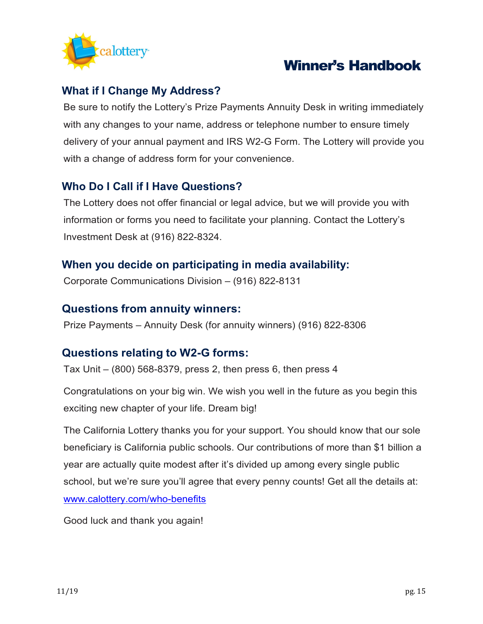

## **What if I Change My Address?**

Be sure to notify the Lottery's Prize Payments Annuity Desk in writing immediately with any changes to your name, address or telephone number to ensure timely delivery of your annual payment and IRS W2-G Form. The Lottery will provide you with a change of address form for your convenience.

## **Who Do I Call if I Have Questions?**

The Lottery does not offer financial or legal advice, but we will provide you with information or forms you need to facilitate your planning. Contact the Lottery's Investment Desk at (916) 822-8324.

## **When you decide on participating in media availability:**

Corporate Communications Division – (916) 822-8131

### **Questions from annuity winners:**

Prize Payments – Annuity Desk (for annuity winners) (916) 822-8306

### **Questions relating to W2-G forms:**

Tax Unit – (800) 568-8379, press 2, then press 6, then press 4

Congratulations on your big win. We wish you well in the future as you begin this exciting new chapter of your life. Dream big!

The California Lottery thanks you for your support. You should know that our sole beneficiary is California public schools. Our contributions of more than \$1 billion a year are actually quite modest after it's divided up among every single public school, but we're sure you'll agree that every penny counts! Get all the details at: [www.calottery.com/who-benefits](http://www.calottery.com/who-benefits)

Good luck and thank you again!